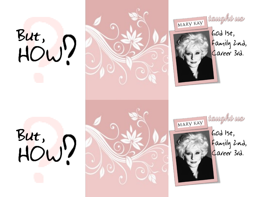







 $60d$  Ist, Family 2nd,<br>Career 3rd.